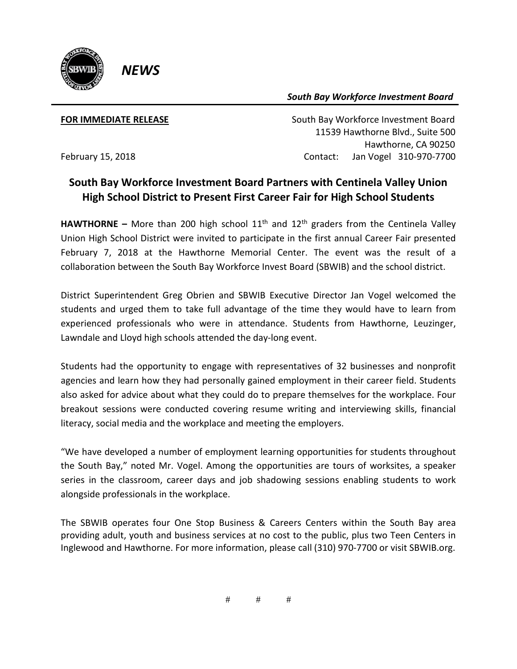

*South Bay Workforce Investment Board*

*NEWS*

**FOR IMMEDIATE RELEASE South Bay Workforce Investment Board**  11539 Hawthorne Blvd., Suite 500 Hawthorne, CA 90250 February 15, 2018 Contact: Jan Vogel 310-970-7700

## **South Bay Workforce Investment Board Partners with Centinela Valley Union High School District to Present First Career Fair for High School Students**

**HAWTHORNE** – More than 200 high school  $11<sup>th</sup>$  and  $12<sup>th</sup>$  graders from the Centinela Valley Union High School District were invited to participate in the first annual Career Fair presented February 7, 2018 at the Hawthorne Memorial Center. The event was the result of a collaboration between the South Bay Workforce Invest Board (SBWIB) and the school district.

District Superintendent Greg Obrien and SBWIB Executive Director Jan Vogel welcomed the students and urged them to take full advantage of the time they would have to learn from experienced professionals who were in attendance. Students from Hawthorne, Leuzinger, Lawndale and Lloyd high schools attended the day-long event.

Students had the opportunity to engage with representatives of 32 businesses and nonprofit agencies and learn how they had personally gained employment in their career field. Students also asked for advice about what they could do to prepare themselves for the workplace. Four breakout sessions were conducted covering resume writing and interviewing skills, financial literacy, social media and the workplace and meeting the employers.

"We have developed a number of employment learning opportunities for students throughout the South Bay," noted Mr. Vogel. Among the opportunities are tours of worksites, a speaker series in the classroom, career days and job shadowing sessions enabling students to work alongside professionals in the workplace.

The SBWIB operates four One Stop Business & Careers Centers within the South Bay area providing adult, youth and business services at no cost to the public, plus two Teen Centers in Inglewood and Hawthorne. For more information, please call (310) 970-7700 or visit SBWIB.org.

# # #